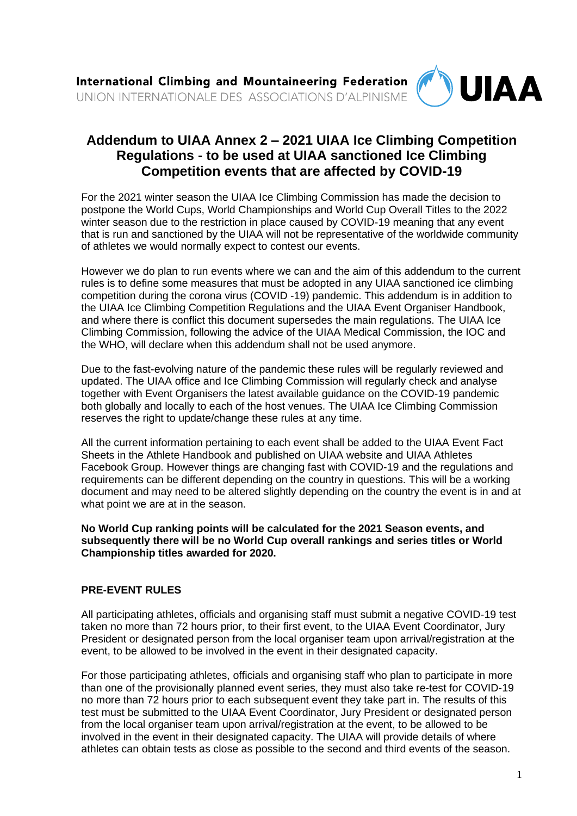

# **Addendum to UIAA Annex 2 – 2021 UIAA Ice Climbing Competition Regulations - to be used at UIAA sanctioned Ice Climbing Competition events that are affected by COVID-19**

For the 2021 winter season the UIAA Ice Climbing Commission has made the decision to postpone the World Cups, World Championships and World Cup Overall Titles to the 2022 winter season due to the restriction in place caused by COVID-19 meaning that any event that is run and sanctioned by the UIAA will not be representative of the worldwide community of athletes we would normally expect to contest our events.

However we do plan to run events where we can and the aim of this addendum to the current rules is to define some measures that must be adopted in any UIAA sanctioned ice climbing competition during the corona virus (COVID -19) pandemic. This addendum is in addition to the UIAA Ice Climbing Competition Regulations and the UIAA Event Organiser Handbook, and where there is conflict this document supersedes the main regulations. The UIAA Ice Climbing Commission, following the advice of the UIAA Medical Commission, the IOC and the WHO, will declare when this addendum shall not be used anymore.

Due to the fast-evolving nature of the pandemic these rules will be regularly reviewed and updated. The UIAA office and Ice Climbing Commission will regularly check and analyse together with Event Organisers the latest available guidance on the COVID-19 pandemic both globally and locally to each of the host venues. The UIAA Ice Climbing Commission reserves the right to update/change these rules at any time.

All the current information pertaining to each event shall be added to the UIAA Event Fact Sheets in the Athlete Handbook and published on UIAA website and UIAA Athletes Facebook Group. However things are changing fast with COVID-19 and the regulations and requirements can be different depending on the country in questions. This will be a working document and may need to be altered slightly depending on the country the event is in and at what point we are at in the season.

**No World Cup ranking points will be calculated for the 2021 Season events, and subsequently there will be no World Cup overall rankings and series titles or World Championship titles awarded for 2020.**

# **PRE-EVENT RULES**

All participating athletes, officials and organising staff must submit a negative COVID-19 test taken no more than 72 hours prior, to their first event, to the UIAA Event Coordinator, Jury President or designated person from the local organiser team upon arrival/registration at the event, to be allowed to be involved in the event in their designated capacity.

For those participating athletes, officials and organising staff who plan to participate in more than one of the provisionally planned event series, they must also take re-test for COVID-19 no more than 72 hours prior to each subsequent event they take part in. The results of this test must be submitted to the UIAA Event Coordinator, Jury President or designated person from the local organiser team upon arrival/registration at the event, to be allowed to be involved in the event in their designated capacity. The UIAA will provide details of where athletes can obtain tests as close as possible to the second and third events of the season.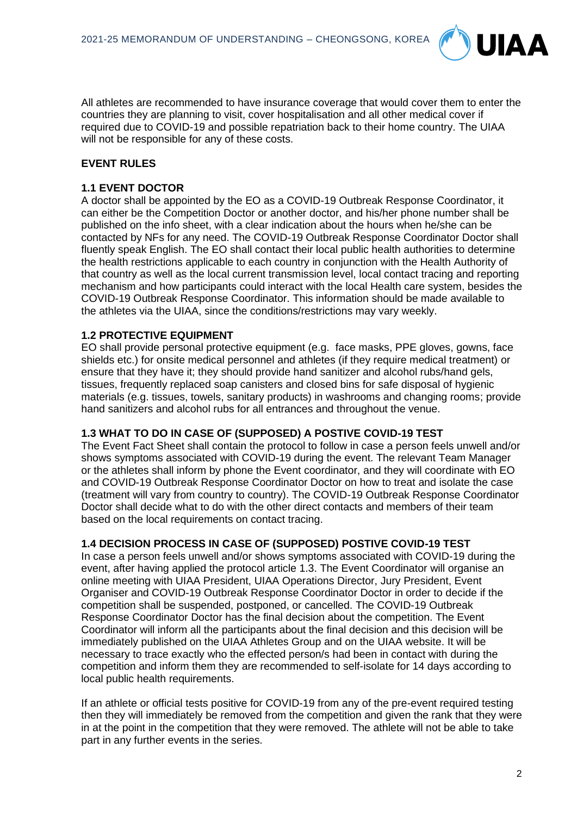

All athletes are recommended to have insurance coverage that would cover them to enter the countries they are planning to visit, cover hospitalisation and all other medical cover if required due to COVID-19 and possible repatriation back to their home country. The UIAA will not be responsible for any of these costs.

# **EVENT RULES**

# **1.1 EVENT DOCTOR**

A doctor shall be appointed by the EO as a COVID-19 Outbreak Response Coordinator, it can either be the Competition Doctor or another doctor, and his/her phone number shall be published on the info sheet, with a clear indication about the hours when he/she can be contacted by NFs for any need. The COVID-19 Outbreak Response Coordinator Doctor shall fluently speak English. The EO shall contact their local public health authorities to determine the health restrictions applicable to each country in conjunction with the Health Authority of that country as well as the local current transmission level, local contact tracing and reporting mechanism and how participants could interact with the local Health care system, besides the COVID-19 Outbreak Response Coordinator. This information should be made available to the athletes via the UIAA, since the conditions/restrictions may vary weekly.

# **1.2 PROTECTIVE EQUIPMENT**

EO shall provide personal protective equipment (e.g. face masks, PPE gloves, gowns, face shields etc.) for onsite medical personnel and athletes (if they require medical treatment) or ensure that they have it; they should provide hand sanitizer and alcohol rubs/hand gels, tissues, frequently replaced soap canisters and closed bins for safe disposal of hygienic materials (e.g. tissues, towels, sanitary products) in washrooms and changing rooms; provide hand sanitizers and alcohol rubs for all entrances and throughout the venue.

# **1.3 WHAT TO DO IN CASE OF (SUPPOSED) A POSTIVE COVID-19 TEST**

The Event Fact Sheet shall contain the protocol to follow in case a person feels unwell and/or shows symptoms associated with COVID-19 during the event. The relevant Team Manager or the athletes shall inform by phone the Event coordinator, and they will coordinate with EO and COVID-19 Outbreak Response Coordinator Doctor on how to treat and isolate the case (treatment will vary from country to country). The COVID-19 Outbreak Response Coordinator Doctor shall decide what to do with the other direct contacts and members of their team based on the local requirements on contact tracing.

#### **1.4 DECISION PROCESS IN CASE OF (SUPPOSED) POSTIVE COVID-19 TEST**

In case a person feels unwell and/or shows symptoms associated with COVID-19 during the event, after having applied the protocol article 1.3. The Event Coordinator will organise an online meeting with UIAA President, UIAA Operations Director, Jury President, Event Organiser and COVID-19 Outbreak Response Coordinator Doctor in order to decide if the competition shall be suspended, postponed, or cancelled. The COVID-19 Outbreak Response Coordinator Doctor has the final decision about the competition. The Event Coordinator will inform all the participants about the final decision and this decision will be immediately published on the UIAA Athletes Group and on the UIAA website. It will be necessary to trace exactly who the effected person/s had been in contact with during the competition and inform them they are recommended to self-isolate for 14 days according to local public health requirements.

If an athlete or official tests positive for COVID-19 from any of the pre-event required testing then they will immediately be removed from the competition and given the rank that they were in at the point in the competition that they were removed. The athlete will not be able to take part in any further events in the series.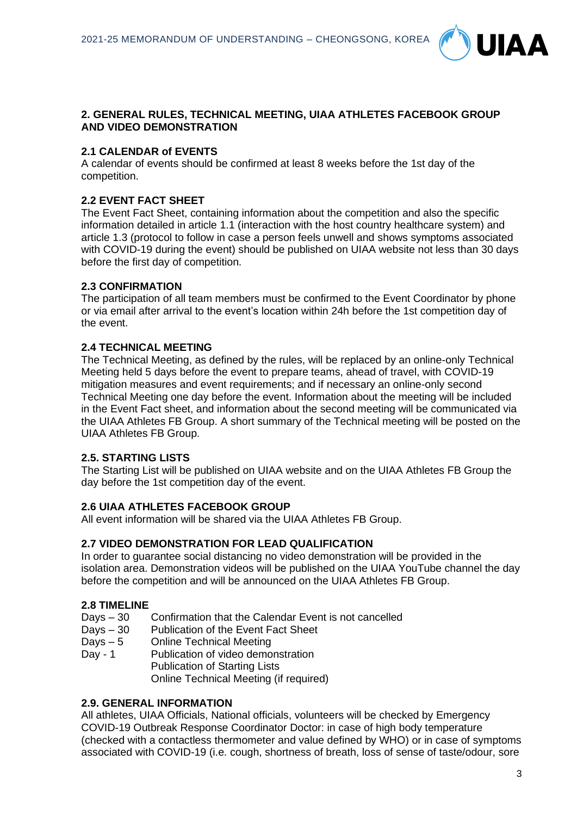

# **2. GENERAL RULES, TECHNICAL MEETING, UIAA ATHLETES FACEBOOK GROUP AND VIDEO DEMONSTRATION**

#### **2.1 CALENDAR of EVENTS**

A calendar of events should be confirmed at least 8 weeks before the 1st day of the competition.

# **2.2 EVENT FACT SHEET**

The Event Fact Sheet, containing information about the competition and also the specific information detailed in article 1.1 (interaction with the host country healthcare system) and article 1.3 (protocol to follow in case a person feels unwell and shows symptoms associated with COVID-19 during the event) should be published on UIAA website not less than 30 days before the first day of competition.

# **2.3 CONFIRMATION**

The participation of all team members must be confirmed to the Event Coordinator by phone or via email after arrival to the event's location within 24h before the 1st competition day of the event.

# **2.4 TECHNICAL MEETING**

The Technical Meeting, as defined by the rules, will be replaced by an online-only Technical Meeting held 5 days before the event to prepare teams, ahead of travel, with COVID-19 mitigation measures and event requirements; and if necessary an online-only second Technical Meeting one day before the event. Information about the meeting will be included in the Event Fact sheet, and information about the second meeting will be communicated via the UIAA Athletes FB Group. A short summary of the Technical meeting will be posted on the UIAA Athletes FB Group.

#### **2.5. STARTING LISTS**

The Starting List will be published on UIAA website and on the UIAA Athletes FB Group the day before the 1st competition day of the event.

#### **2.6 UIAA ATHLETES FACEBOOK GROUP**

All event information will be shared via the UIAA Athletes FB Group.

#### **2.7 VIDEO DEMONSTRATION FOR LEAD QUALIFICATION**

In order to guarantee social distancing no video demonstration will be provided in the isolation area. Demonstration videos will be published on the UIAA YouTube channel the day before the competition and will be announced on the UIAA Athletes FB Group.

#### **2.8 TIMELINE**

- Days 30 Confirmation that the Calendar Event is not cancelled
- Days 30 Publication of the Event Fact Sheet
- Days 5 Online Technical Meeting
- Day 1 Publication of video demonstration Publication of Starting Lists Online Technical Meeting (if required)

# **2.9. GENERAL INFORMATION**

All athletes, UIAA Officials, National officials, volunteers will be checked by Emergency COVID-19 Outbreak Response Coordinator Doctor: in case of high body temperature (checked with a contactless thermometer and value defined by WHO) or in case of symptoms associated with COVID-19 (i.e. cough, shortness of breath, loss of sense of taste/odour, sore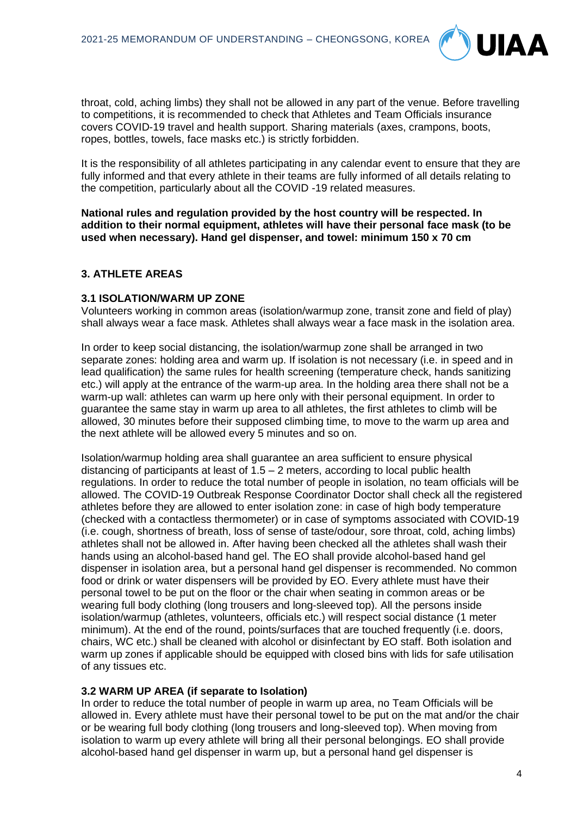

throat, cold, aching limbs) they shall not be allowed in any part of the venue. Before travelling to competitions, it is recommended to check that Athletes and Team Officials insurance covers COVID-19 travel and health support. Sharing materials (axes, crampons, boots, ropes, bottles, towels, face masks etc.) is strictly forbidden.

It is the responsibility of all athletes participating in any calendar event to ensure that they are fully informed and that every athlete in their teams are fully informed of all details relating to the competition, particularly about all the COVID -19 related measures.

**National rules and regulation provided by the host country will be respected. In addition to their normal equipment, athletes will have their personal face mask (to be used when necessary). Hand gel dispenser, and towel: minimum 150 x 70 cm**

### **3. ATHLETE AREAS**

#### **3.1 ISOLATION/WARM UP ZONE**

Volunteers working in common areas (isolation/warmup zone, transit zone and field of play) shall always wear a face mask. Athletes shall always wear a face mask in the isolation area.

In order to keep social distancing, the isolation/warmup zone shall be arranged in two separate zones: holding area and warm up. If isolation is not necessary (i.e. in speed and in lead qualification) the same rules for health screening (temperature check, hands sanitizing etc.) will apply at the entrance of the warm-up area. In the holding area there shall not be a warm-up wall: athletes can warm up here only with their personal equipment. In order to guarantee the same stay in warm up area to all athletes, the first athletes to climb will be allowed, 30 minutes before their supposed climbing time, to move to the warm up area and the next athlete will be allowed every 5 minutes and so on.

Isolation/warmup holding area shall guarantee an area sufficient to ensure physical distancing of participants at least of  $1.5 - 2$  meters, according to local public health regulations. In order to reduce the total number of people in isolation, no team officials will be allowed. The COVID-19 Outbreak Response Coordinator Doctor shall check all the registered athletes before they are allowed to enter isolation zone: in case of high body temperature (checked with a contactless thermometer) or in case of symptoms associated with COVID-19 (i.e. cough, shortness of breath, loss of sense of taste/odour, sore throat, cold, aching limbs) athletes shall not be allowed in. After having been checked all the athletes shall wash their hands using an alcohol-based hand gel. The EO shall provide alcohol-based hand gel dispenser in isolation area, but a personal hand gel dispenser is recommended. No common food or drink or water dispensers will be provided by EO. Every athlete must have their personal towel to be put on the floor or the chair when seating in common areas or be wearing full body clothing (long trousers and long-sleeved top). All the persons inside isolation/warmup (athletes, volunteers, officials etc.) will respect social distance (1 meter minimum). At the end of the round, points/surfaces that are touched frequently (i.e. doors, chairs, WC etc.) shall be cleaned with alcohol or disinfectant by EO staff. Both isolation and warm up zones if applicable should be equipped with closed bins with lids for safe utilisation of any tissues etc.

#### **3.2 WARM UP AREA (if separate to Isolation)**

In order to reduce the total number of people in warm up area, no Team Officials will be allowed in. Every athlete must have their personal towel to be put on the mat and/or the chair or be wearing full body clothing (long trousers and long-sleeved top). When moving from isolation to warm up every athlete will bring all their personal belongings. EO shall provide alcohol-based hand gel dispenser in warm up, but a personal hand gel dispenser is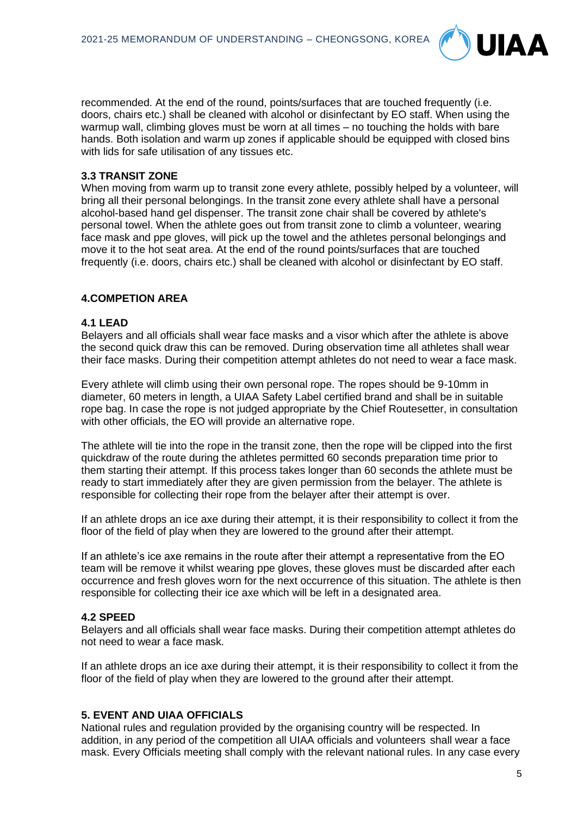

recommended. At the end of the round, points/surfaces that are touched frequently (i.e. doors, chairs etc.) shall be cleaned with alcohol or disinfectant by EO staff. When using the warmup wall, climbing gloves must be worn at all times – no touching the holds with bare hands. Both isolation and warm up zones if applicable should be equipped with closed bins with lids for safe utilisation of any tissues etc.

## **3.3 TRANSIT ZONE**

When moving from warm up to transit zone every athlete, possibly helped by a volunteer, will bring all their personal belongings. In the transit zone every athlete shall have a personal alcohol-based hand gel dispenser. The transit zone chair shall be covered by athlete's personal towel. When the athlete goes out from transit zone to climb a volunteer, wearing face mask and ppe gloves, will pick up the towel and the athletes personal belongings and move it to the hot seat area. At the end of the round points/surfaces that are touched frequently (i.e. doors, chairs etc.) shall be cleaned with alcohol or disinfectant by EO staff.

# **4.COMPETION AREA**

#### **4.1 LEAD**

Belayers and all officials shall wear face masks and a visor which after the athlete is above the second quick draw this can be removed. During observation time all athletes shall wear their face masks. During their competition attempt athletes do not need to wear a face mask.

Every athlete will climb using their own personal rope. The ropes should be 9-10mm in diameter, 60 meters in length, a UIAA Safety Label certified brand and shall be in suitable rope bag. In case the rope is not judged appropriate by the Chief Routesetter, in consultation with other officials, the EO will provide an alternative rope.

The athlete will tie into the rope in the transit zone, then the rope will be clipped into the first quickdraw of the route during the athletes permitted 60 seconds preparation time prior to them starting their attempt. If this process takes longer than 60 seconds the athlete must be ready to start immediately after they are given permission from the belayer. The athlete is responsible for collecting their rope from the belayer after their attempt is over.

If an athlete drops an ice axe during their attempt, it is their responsibility to collect it from the floor of the field of play when they are lowered to the ground after their attempt.

If an athlete's ice axe remains in the route after their attempt a representative from the EO team will be remove it whilst wearing ppe gloves, these gloves must be discarded after each occurrence and fresh gloves worn for the next occurrence of this situation. The athlete is then responsible for collecting their ice axe which will be left in a designated area.

#### **4.2 SPEED**

Belayers and all officials shall wear face masks. During their competition attempt athletes do not need to wear a face mask.

If an athlete drops an ice axe during their attempt, it is their responsibility to collect it from the floor of the field of play when they are lowered to the ground after their attempt.

# **5. EVENT AND UIAA OFFICIALS**

National rules and regulation provided by the organising country will be respected. In addition, in any period of the competition all UIAA officials and volunteers shall wear a face mask. Every Officials meeting shall comply with the relevant national rules. In any case every